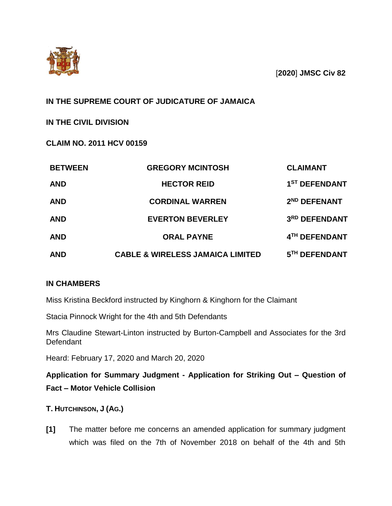

[**2020**] **JMSC Civ 82**

# **IN THE SUPREME COURT OF JUDICATURE OF JAMAICA**

**IN THE CIVIL DIVISION**

**CLAIM NO. 2011 HCV 00159**

| <b>BETWEEN</b> | <b>GREGORY MCINTOSH</b>                     | <b>CLAIMANT</b>           |
|----------------|---------------------------------------------|---------------------------|
| <b>AND</b>     | <b>HECTOR REID</b>                          | 1 <sup>ST</sup> DEFENDANT |
| <b>AND</b>     | <b>CORDINAL WARREN</b>                      | 2 <sup>ND</sup> DEFENANT  |
| <b>AND</b>     | <b>EVERTON BEVERLEY</b>                     | 3RD DEFENDANT             |
| <b>AND</b>     | <b>ORAL PAYNE</b>                           | 4TH DEFENDANT             |
| <b>AND</b>     | <b>CABLE &amp; WIRELESS JAMAICA LIMITED</b> | 5TH DEFENDANT             |

## **IN CHAMBERS**

Miss Kristina Beckford instructed by Kinghorn & Kinghorn for the Claimant

Stacia Pinnock Wright for the 4th and 5th Defendants

Mrs Claudine Stewart-Linton instructed by Burton-Campbell and Associates for the 3rd Defendant

Heard: February 17, 2020 and March 20, 2020

**Application for Summary Judgment - Application for Striking Out – Question of Fact – Motor Vehicle Collision**

**T. HUTCHINSON, J (AG.)**

**[1]** The matter before me concerns an amended application for summary judgment which was filed on the 7th of November 2018 on behalf of the 4th and 5th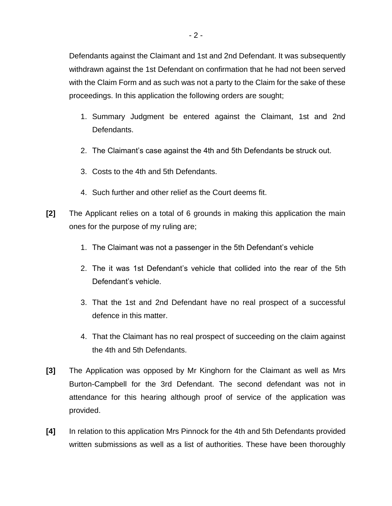Defendants against the Claimant and 1st and 2nd Defendant. It was subsequently withdrawn against the 1st Defendant on confirmation that he had not been served with the Claim Form and as such was not a party to the Claim for the sake of these proceedings. In this application the following orders are sought;

- 1. Summary Judgment be entered against the Claimant, 1st and 2nd Defendants.
- 2. The Claimant's case against the 4th and 5th Defendants be struck out.
- 3. Costs to the 4th and 5th Defendants.
- 4. Such further and other relief as the Court deems fit.
- **[2]** The Applicant relies on a total of 6 grounds in making this application the main ones for the purpose of my ruling are;
	- 1. The Claimant was not a passenger in the 5th Defendant's vehicle
	- 2. The it was 1st Defendant's vehicle that collided into the rear of the 5th Defendant's vehicle.
	- 3. That the 1st and 2nd Defendant have no real prospect of a successful defence in this matter.
	- 4. That the Claimant has no real prospect of succeeding on the claim against the 4th and 5th Defendants.
- **[3]** The Application was opposed by Mr Kinghorn for the Claimant as well as Mrs Burton-Campbell for the 3rd Defendant. The second defendant was not in attendance for this hearing although proof of service of the application was provided.
- **[4]** In relation to this application Mrs Pinnock for the 4th and 5th Defendants provided written submissions as well as a list of authorities. These have been thoroughly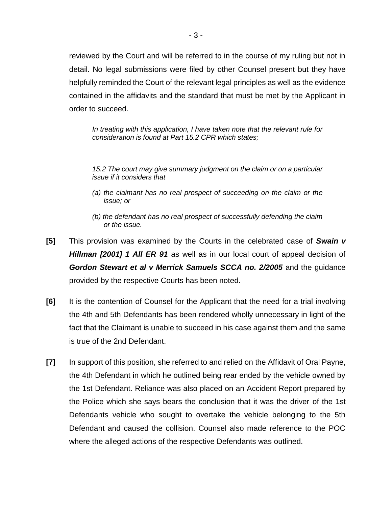reviewed by the Court and will be referred to in the course of my ruling but not in detail. No legal submissions were filed by other Counsel present but they have helpfully reminded the Court of the relevant legal principles as well as the evidence contained in the affidavits and the standard that must be met by the Applicant in order to succeed.

*In treating with this application, I have taken note that the relevant rule for consideration is found at Part 15.2 CPR which states;*

*15.2 The court may give summary judgment on the claim or on a particular issue if it considers that* 

- *(a) the claimant has no real prospect of succeeding on the claim or the issue; or*
- *(b) the defendant has no real prospect of successfully defending the claim or the issue.*
- **[5]** This provision was examined by the Courts in the celebrated case of *Swain v Hillman [2001] 1 All ER 91* as well as in our local court of appeal decision of *Gordon Stewart et al v Merrick Samuels SCCA no. 2/2005* and the guidance provided by the respective Courts has been noted.
- **[6]** It is the contention of Counsel for the Applicant that the need for a trial involving the 4th and 5th Defendants has been rendered wholly unnecessary in light of the fact that the Claimant is unable to succeed in his case against them and the same is true of the 2nd Defendant.
- **[7]** In support of this position, she referred to and relied on the Affidavit of Oral Payne, the 4th Defendant in which he outlined being rear ended by the vehicle owned by the 1st Defendant. Reliance was also placed on an Accident Report prepared by the Police which she says bears the conclusion that it was the driver of the 1st Defendants vehicle who sought to overtake the vehicle belonging to the 5th Defendant and caused the collision. Counsel also made reference to the POC where the alleged actions of the respective Defendants was outlined.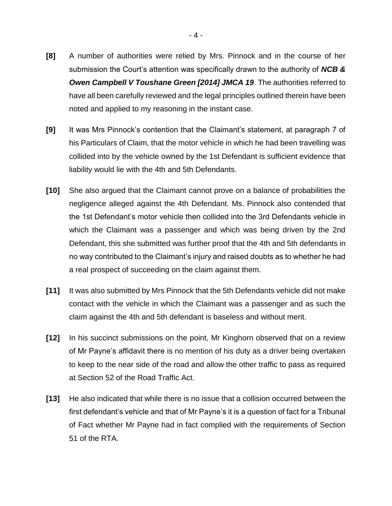- **[8]** A number of authorities were relied by Mrs. Pinnock and in the course of her submission the Court's attention was specifically drawn to the authority of *NCB & Owen Campbell V Toushane Green [2014] JMCA 19*. The authorities referred to have all been carefully reviewed and the legal principles outlined therein have been noted and applied to my reasoning in the instant case.
- **[9]** It was Mrs Pinnock's contention that the Claimant's statement, at paragraph 7 of his Particulars of Claim, that the motor vehicle in which he had been travelling was collided into by the vehicle owned by the 1st Defendant is sufficient evidence that liability would lie with the 4th and 5th Defendants.
- **[10]** She also argued that the Claimant cannot prove on a balance of probabilities the negligence alleged against the 4th Defendant. Ms. Pinnock also contended that the 1st Defendant's motor vehicle then collided into the 3rd Defendants vehicle in which the Claimant was a passenger and which was being driven by the 2nd Defendant, this she submitted was further proof that the 4th and 5th defendants in no way contributed to the Claimant's injury and raised doubts as to whether he had a real prospect of succeeding on the claim against them.
- **[11]** It was also submitted by Mrs Pinnock that the 5th Defendants vehicle did not make contact with the vehicle in which the Claimant was a passenger and as such the claim against the 4th and 5th defendant is baseless and without merit.
- **[12]** In his succinct submissions on the point, Mr Kinghorn observed that on a review of Mr Payne's affidavit there is no mention of his duty as a driver being overtaken to keep to the near side of the road and allow the other traffic to pass as required at Section 52 of the Road Traffic Act.
- **[13]** He also indicated that while there is no issue that a collision occurred between the first defendant's vehicle and that of Mr Payne's it is a question of fact for a Tribunal of Fact whether Mr Payne had in fact complied with the requirements of Section 51 of the RTA.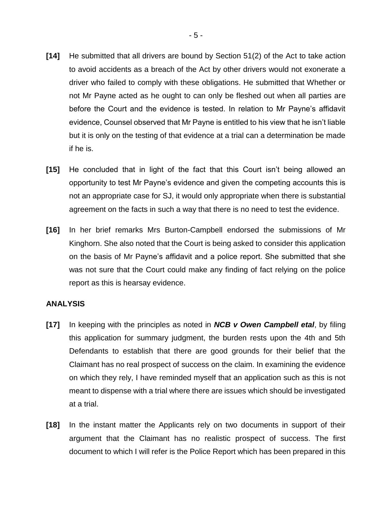- **[14]** He submitted that all drivers are bound by Section 51(2) of the Act to take action to avoid accidents as a breach of the Act by other drivers would not exonerate a driver who failed to comply with these obligations. He submitted that Whether or not Mr Payne acted as he ought to can only be fleshed out when all parties are before the Court and the evidence is tested. In relation to Mr Payne's affidavit evidence, Counsel observed that Mr Payne is entitled to his view that he isn't liable but it is only on the testing of that evidence at a trial can a determination be made if he is.
- **[15]** He concluded that in light of the fact that this Court isn't being allowed an opportunity to test Mr Payne's evidence and given the competing accounts this is not an appropriate case for SJ, it would only appropriate when there is substantial agreement on the facts in such a way that there is no need to test the evidence.
- **[16]** In her brief remarks Mrs Burton-Campbell endorsed the submissions of Mr Kinghorn. She also noted that the Court is being asked to consider this application on the basis of Mr Payne's affidavit and a police report. She submitted that she was not sure that the Court could make any finding of fact relying on the police report as this is hearsay evidence.

#### **ANALYSIS**

- **[17]** In keeping with the principles as noted in *NCB v Owen Campbell etal*, by filing this application for summary judgment, the burden rests upon the 4th and 5th Defendants to establish that there are good grounds for their belief that the Claimant has no real prospect of success on the claim. In examining the evidence on which they rely, I have reminded myself that an application such as this is not meant to dispense with a trial where there are issues which should be investigated at a trial.
- **[18]** In the instant matter the Applicants rely on two documents in support of their argument that the Claimant has no realistic prospect of success. The first document to which I will refer is the Police Report which has been prepared in this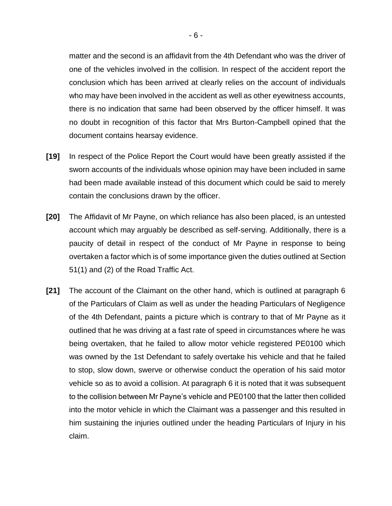matter and the second is an affidavit from the 4th Defendant who was the driver of one of the vehicles involved in the collision. In respect of the accident report the conclusion which has been arrived at clearly relies on the account of individuals who may have been involved in the accident as well as other eyewitness accounts, there is no indication that same had been observed by the officer himself. It was no doubt in recognition of this factor that Mrs Burton-Campbell opined that the document contains hearsay evidence.

- **[19]** In respect of the Police Report the Court would have been greatly assisted if the sworn accounts of the individuals whose opinion may have been included in same had been made available instead of this document which could be said to merely contain the conclusions drawn by the officer.
- **[20]** The Affidavit of Mr Payne, on which reliance has also been placed, is an untested account which may arguably be described as self-serving. Additionally, there is a paucity of detail in respect of the conduct of Mr Payne in response to being overtaken a factor which is of some importance given the duties outlined at Section 51(1) and (2) of the Road Traffic Act.
- **[21]** The account of the Claimant on the other hand, which is outlined at paragraph 6 of the Particulars of Claim as well as under the heading Particulars of Negligence of the 4th Defendant, paints a picture which is contrary to that of Mr Payne as it outlined that he was driving at a fast rate of speed in circumstances where he was being overtaken, that he failed to allow motor vehicle registered PE0100 which was owned by the 1st Defendant to safely overtake his vehicle and that he failed to stop, slow down, swerve or otherwise conduct the operation of his said motor vehicle so as to avoid a collision. At paragraph 6 it is noted that it was subsequent to the collision between Mr Payne's vehicle and PE0100 that the latter then collided into the motor vehicle in which the Claimant was a passenger and this resulted in him sustaining the injuries outlined under the heading Particulars of Injury in his claim.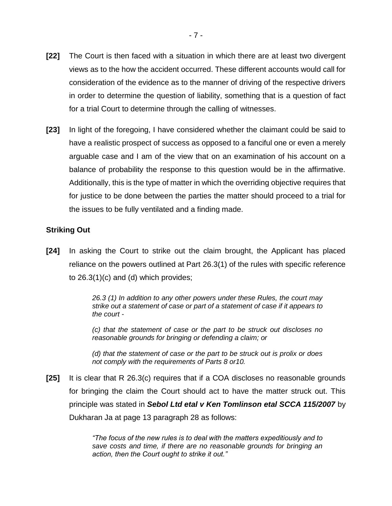- **[22]** The Court is then faced with a situation in which there are at least two divergent views as to the how the accident occurred. These different accounts would call for consideration of the evidence as to the manner of driving of the respective drivers in order to determine the question of liability, something that is a question of fact for a trial Court to determine through the calling of witnesses.
- **[23]** In light of the foregoing, I have considered whether the claimant could be said to have a realistic prospect of success as opposed to a fanciful one or even a merely arguable case and I am of the view that on an examination of his account on a balance of probability the response to this question would be in the affirmative. Additionally, this is the type of matter in which the overriding objective requires that for justice to be done between the parties the matter should proceed to a trial for the issues to be fully ventilated and a finding made.

## **Striking Out**

**[24]** In asking the Court to strike out the claim brought, the Applicant has placed reliance on the powers outlined at Part 26.3(1) of the rules with specific reference to 26.3(1)(c) and (d) which provides;

> *26.3 (1) In addition to any other powers under these Rules, the court may strike out a statement of case or part of a statement of case if it appears to the court -*

> *(c) that the statement of case or the part to be struck out discloses no reasonable grounds for bringing or defending a claim; or*

> *(d) that the statement of case or the part to be struck out is prolix or does not comply with the requirements of Parts 8 or10.*

**[25]** It is clear that R 26.3(c) requires that if a COA discloses no reasonable grounds for bringing the claim the Court should act to have the matter struck out. This principle was stated in *Sebol Ltd etal v Ken Tomlinson etal SCCA 115/2007* by Dukharan Ja at page 13 paragraph 28 as follows:

> *"The focus of the new rules is to deal with the matters expeditiously and to save costs and time, if there are no reasonable grounds for bringing an action, then the Court ought to strike it out."*